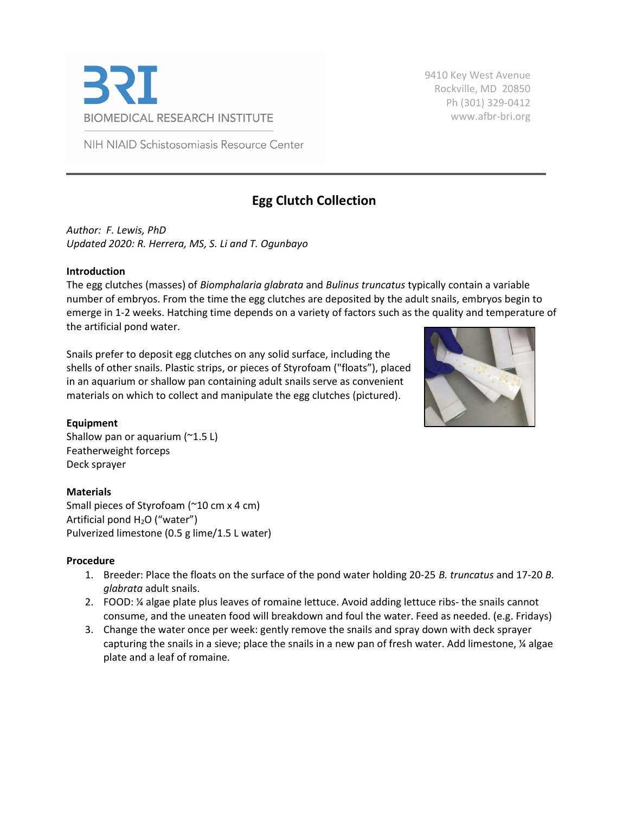

9410 Key West Avenue Rockville, MD 20850 Ph (301) 329-0412 www.afbr-bri.org

NIH NIAID Schistosomiasis Resource Center

# Egg Clutch Collection

Author: F. Lewis, PhD Updated 2020: R. Herrera, MS, S. Li and T. Ogunbayo

#### Introduction

The egg clutches (masses) of Biomphalaria glabrata and Bulinus truncatus typically contain a variable number of embryos. From the time the egg clutches are deposited by the adult snails, embryos begin to emerge in 1-2 weeks. Hatching time depends on a variety of factors such as the quality and temperature of the artificial pond water.

Snails prefer to deposit egg clutches on any solid surface, including the shells of other snails. Plastic strips, or pieces of Styrofoam ("floats"), placed in an aquarium or shallow pan containing adult snails serve as convenient materials on which to collect and manipulate the egg clutches (pictured).



## Equipment

Shallow pan or aquarium (~1.5 L) Featherweight forceps Deck sprayer

## Materials

Small pieces of Styrofoam (~10 cm x 4 cm) Artificial pond  $H_2O$  ("water") Pulverized limestone (0.5 g lime/1.5 L water)

## Procedure

- 1. Breeder: Place the floats on the surface of the pond water holding 20-25 B. truncatus and 17-20 B. glabrata adult snails.
- 2. FOOD: ¼ algae plate plus leaves of romaine lettuce. Avoid adding lettuce ribs- the snails cannot consume, and the uneaten food will breakdown and foul the water. Feed as needed. (e.g. Fridays)
- 3. Change the water once per week: gently remove the snails and spray down with deck sprayer capturing the snails in a sieve; place the snails in a new pan of fresh water. Add limestone,  $\frac{1}{4}$  algae plate and a leaf of romaine.